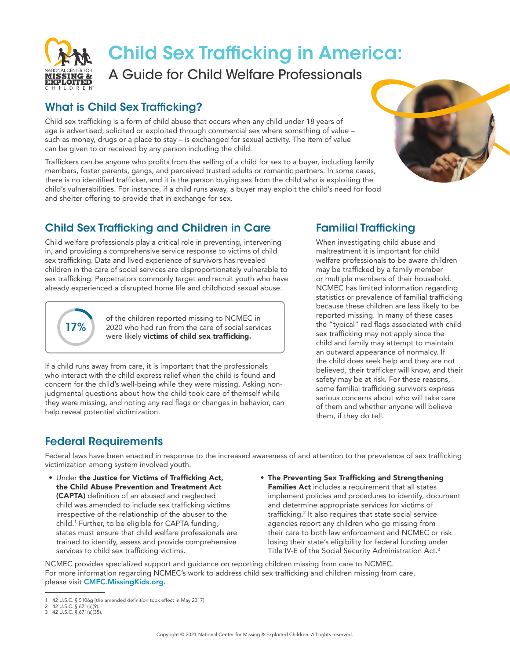

# Child Sex Trafficking in America:

A Guide for Child Welfare Professionals

#### What is Child Sex Trafficking?

Child sex trafficking is a form of child abuse that occurs when any child under 18 years of age is advertised, solicited or exploited through commercial sex where something of value – such as money, drugs or a place to stay – is exchanged for sexual activity. The item of value can be given to or received by any person including the child.

Traffickers can be anyone who profits from the selling of a child for sex to a buyer, including family members, foster parents, gangs, and perceived trusted adults or romantic partners. In some cases, there is no identified trafficker, and it is the person buying sex from the child who is exploiting the child's vulnerabilities. For instance, if a child runs away, a buyer may exploit the child's need for food and shelter offering to provide that in exchange for sex.

### Child Sex Trafficking and Children in Care

Child welfare professionals play a critical role in preventing, intervening in, and providing a comprehensive service response to victims of child sex trafficking. Data and lived experience of survivors has revealed children in the care of social services are disproportionately vulnerable to sex trafficking. Perpetrators commonly target and recruit youth who have already experienced a disrupted home life and childhood sexual abuse.



of the children reported missing to NCMEC in 2020 who had run from the care of social services were likely **victims of child sex trafficking.** 

If a child runs away from care, it is important that the professionals who interact with the child express relief when the child is found and concern for the child's well-being while they were missing. Asking nonjudgmental questions about how the child took care of themself while they were missing, and noting any red flags or changes in behavior, can help reveal potential victimization.

## Familial Trafficking

When investigating child abuse and maltreatment it is important for child welfare professionals to be aware children may be trafficked by a family member or multiple members of their household. NCMEC has limited information regarding statistics or prevalence of familial trafficking because these children are less likely to be reported missing. In many of these cases the "typical" red flags associated with child sex trafficking may not apply since the child and family may attempt to maintain an outward appearance of normalcy. If the child does seek help and they are not believed, their trafficker will know, and their safety may be at risk. For these reasons, some familial trafficking survivors express serious concerns about who will take care of them and whether anyone will believe them, if they do tell.

#### Federal Requirements

Federal laws have been enacted in response to the increased awareness of and attention to the prevalence of sex trafficking victimization among system involved youth.

- Under the Justice for Victims of Trafficking Act, the Child Abuse Prevention and Treatment Act (CAPTA) definition of an abused and neglected child was amended to include sex trafficking victims irrespective of the relationship of the abuser to the child.1 Further, to be eligible for CAPTA funding, states must ensure that child welfare professionals are trained to identify, assess and provide comprehensive services to child sex trafficking victims.
- The Preventing Sex Trafficking and Strengthening Families Act includes a requirement that all states implement policies and procedures to identify, document and determine appropriate services for victims of trafficking.2 It also requires that state social service agencies report any children who go missing from their care to both law enforcement and NCMEC or risk losing their state's eligibility for federal funding under Title IV-E of the Social Security Administration Act.3

NCMEC provides specialized support and guidance on reporting children missing from care to NCMEC. For more information regarding NCMEC's work to address child sex trafficking and children missing from care, please visit [CMFC.MissingKids.org.](http://cmfc.missingkids.org/home)



<sup>1</sup> 42 U.S.C. § 5106g (the amended definition took effect in May 2017). 2 42 U.S.C. § 671(a)(9).

<sup>3</sup> 42 U.S.C. § 671(a)(35).